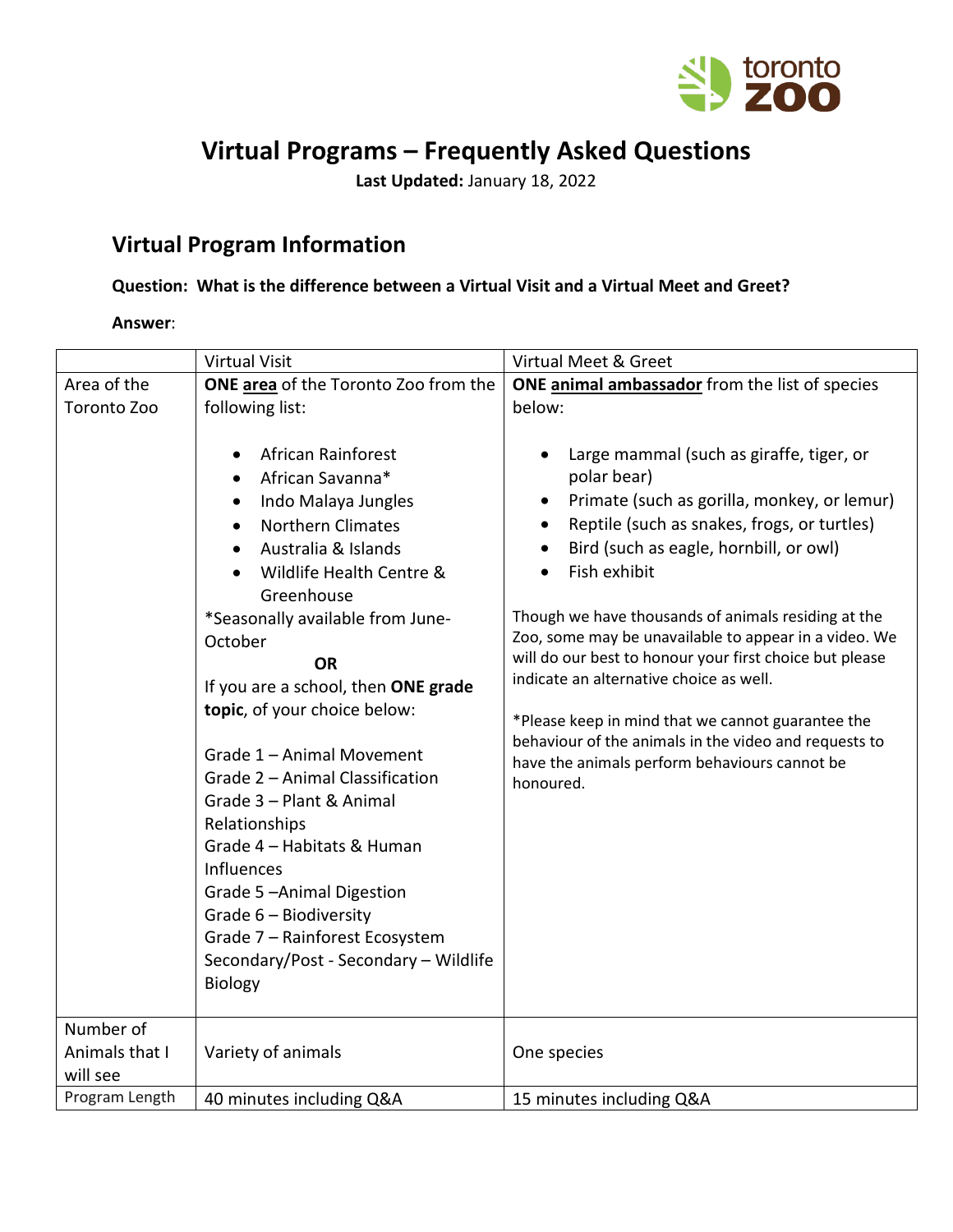

# **Virtual Programs – Frequently Asked Questions**

**Last Updated:** January 18, 2022

## **Virtual Program Information**

### **Question: What is the difference between a Virtual Visit and a Virtual Meet and Greet?**

#### **Answer**:

|                                         | <b>Virtual Visit</b>                                                                                                                                                                                                                                                                                                                                                                                                                                                                                                                                                                                                               | Virtual Meet & Greet                                                                                                                                                                                                                                                                                                                                                                                                                                                                                                                                                                                                        |
|-----------------------------------------|------------------------------------------------------------------------------------------------------------------------------------------------------------------------------------------------------------------------------------------------------------------------------------------------------------------------------------------------------------------------------------------------------------------------------------------------------------------------------------------------------------------------------------------------------------------------------------------------------------------------------------|-----------------------------------------------------------------------------------------------------------------------------------------------------------------------------------------------------------------------------------------------------------------------------------------------------------------------------------------------------------------------------------------------------------------------------------------------------------------------------------------------------------------------------------------------------------------------------------------------------------------------------|
| Area of the                             | ONE area of the Toronto Zoo from the                                                                                                                                                                                                                                                                                                                                                                                                                                                                                                                                                                                               | ONE animal ambassador from the list of species                                                                                                                                                                                                                                                                                                                                                                                                                                                                                                                                                                              |
| Toronto Zoo                             | following list:<br>African Rainforest<br>$\bullet$<br>African Savanna*<br>Indo Malaya Jungles<br><b>Northern Climates</b><br>Australia & Islands<br>Wildlife Health Centre &<br>Greenhouse<br>*Seasonally available from June-<br>October<br><b>OR</b><br>If you are a school, then ONE grade<br>topic, of your choice below:<br>Grade 1 - Animal Movement<br>Grade 2 - Animal Classification<br>Grade 3 - Plant & Animal<br>Relationships<br>Grade 4 - Habitats & Human<br>Influences<br>Grade 5-Animal Digestion<br>Grade 6 - Biodiversity<br>Grade 7 - Rainforest Ecosystem<br>Secondary/Post - Secondary - Wildlife<br>Biology | below:<br>Large mammal (such as giraffe, tiger, or<br>polar bear)<br>Primate (such as gorilla, monkey, or lemur)<br>Reptile (such as snakes, frogs, or turtles)<br>Bird (such as eagle, hornbill, or owl)<br>Fish exhibit<br>Though we have thousands of animals residing at the<br>Zoo, some may be unavailable to appear in a video. We<br>will do our best to honour your first choice but please<br>indicate an alternative choice as well.<br>*Please keep in mind that we cannot guarantee the<br>behaviour of the animals in the video and requests to<br>have the animals perform behaviours cannot be<br>honoured. |
| Number of<br>Animals that I<br>will see | Variety of animals                                                                                                                                                                                                                                                                                                                                                                                                                                                                                                                                                                                                                 | One species                                                                                                                                                                                                                                                                                                                                                                                                                                                                                                                                                                                                                 |
| Program Length                          | 40 minutes including Q&A                                                                                                                                                                                                                                                                                                                                                                                                                                                                                                                                                                                                           | 15 minutes including Q&A                                                                                                                                                                                                                                                                                                                                                                                                                                                                                                                                                                                                    |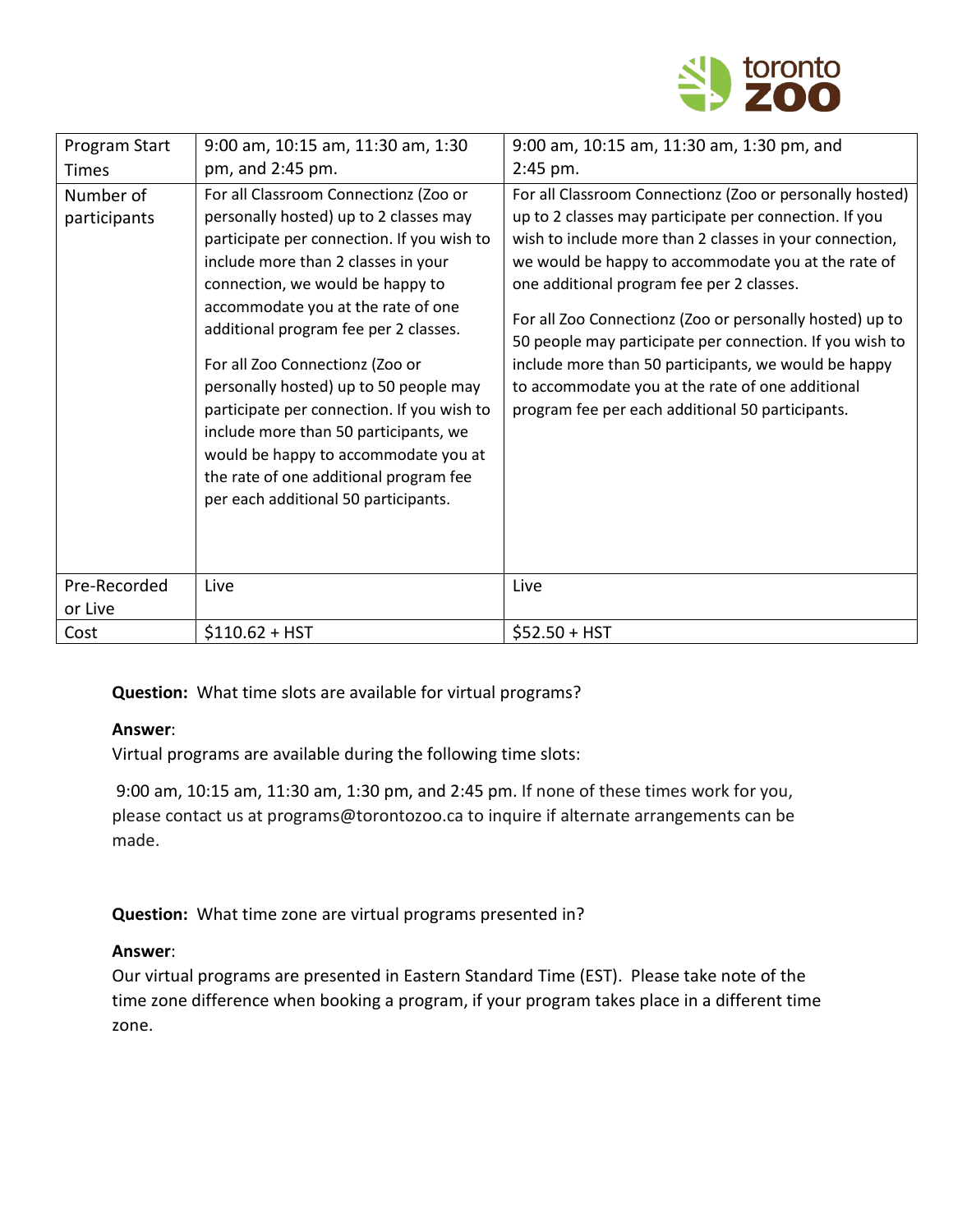

| Program Start             | 9:00 am, 10:15 am, 11:30 am, 1:30                                                                                                                                                                                                                                                                                                                                                                                                                                                                                                                                                     | 9:00 am, 10:15 am, 11:30 am, 1:30 pm, and                                                                                                                                                                                                                                                                                                                                                                                                                                                                                                                                 |
|---------------------------|---------------------------------------------------------------------------------------------------------------------------------------------------------------------------------------------------------------------------------------------------------------------------------------------------------------------------------------------------------------------------------------------------------------------------------------------------------------------------------------------------------------------------------------------------------------------------------------|---------------------------------------------------------------------------------------------------------------------------------------------------------------------------------------------------------------------------------------------------------------------------------------------------------------------------------------------------------------------------------------------------------------------------------------------------------------------------------------------------------------------------------------------------------------------------|
| <b>Times</b>              | pm, and 2:45 pm.                                                                                                                                                                                                                                                                                                                                                                                                                                                                                                                                                                      | 2:45 pm.                                                                                                                                                                                                                                                                                                                                                                                                                                                                                                                                                                  |
| Number of<br>participants | For all Classroom Connectionz (Zoo or<br>personally hosted) up to 2 classes may<br>participate per connection. If you wish to<br>include more than 2 classes in your<br>connection, we would be happy to<br>accommodate you at the rate of one<br>additional program fee per 2 classes.<br>For all Zoo Connectionz (Zoo or<br>personally hosted) up to 50 people may<br>participate per connection. If you wish to<br>include more than 50 participants, we<br>would be happy to accommodate you at<br>the rate of one additional program fee<br>per each additional 50 participants. | For all Classroom Connectionz (Zoo or personally hosted)<br>up to 2 classes may participate per connection. If you<br>wish to include more than 2 classes in your connection,<br>we would be happy to accommodate you at the rate of<br>one additional program fee per 2 classes.<br>For all Zoo Connectionz (Zoo or personally hosted) up to<br>50 people may participate per connection. If you wish to<br>include more than 50 participants, we would be happy<br>to accommodate you at the rate of one additional<br>program fee per each additional 50 participants. |
| Pre-Recorded              | Live                                                                                                                                                                                                                                                                                                                                                                                                                                                                                                                                                                                  | Live                                                                                                                                                                                                                                                                                                                                                                                                                                                                                                                                                                      |
| or Live                   |                                                                                                                                                                                                                                                                                                                                                                                                                                                                                                                                                                                       |                                                                                                                                                                                                                                                                                                                                                                                                                                                                                                                                                                           |
| Cost                      | $$110.62 + HST$                                                                                                                                                                                                                                                                                                                                                                                                                                                                                                                                                                       | $$52.50 + HST$                                                                                                                                                                                                                                                                                                                                                                                                                                                                                                                                                            |

**Question:** What time slots are available for virtual programs?

#### **Answer**:

Virtual programs are available during the following time slots:

9:00 am, 10:15 am, 11:30 am, 1:30 pm, and 2:45 pm. If none of these times work for you, please contact us at programs@torontozoo.ca to inquire if alternate arrangements can be made.

**Question:** What time zone are virtual programs presented in?

#### **Answer**:

Our virtual programs are presented in Eastern Standard Time (EST). Please take note of the time zone difference when booking a program, if your program takes place in a different time zone.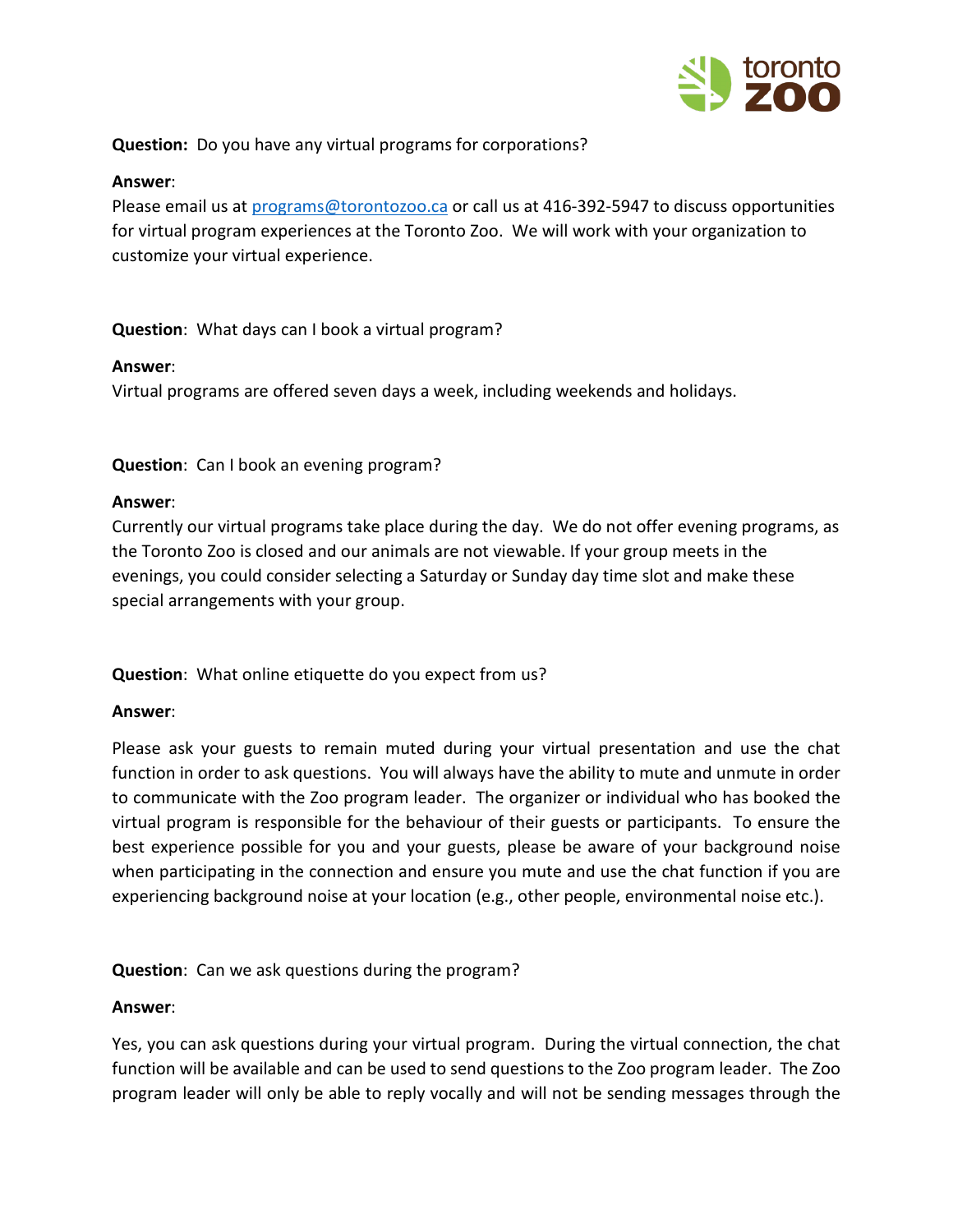

**Question:** Do you have any virtual programs for corporations?

#### **Answer**:

Please email us at [programs@torontozoo.ca](mailto:programs@torontozoo.ca) or call us at 416-392-5947 to discuss opportunities for virtual program experiences at the Toronto Zoo. We will work with your organization to customize your virtual experience.

**Question**: What days can I book a virtual program?

#### **Answer**:

Virtual programs are offered seven days a week, including weekends and holidays.

**Question**: Can I book an evening program?

#### **Answer**:

Currently our virtual programs take place during the day. We do not offer evening programs, as the Toronto Zoo is closed and our animals are not viewable. If your group meets in the evenings, you could consider selecting a Saturday or Sunday day time slot and make these special arrangements with your group.

**Question**: What online etiquette do you expect from us?

#### **Answer**:

Please ask your guests to remain muted during your virtual presentation and use the chat function in order to ask questions. You will always have the ability to mute and unmute in order to communicate with the Zoo program leader. The organizer or individual who has booked the virtual program is responsible for the behaviour of their guests or participants. To ensure the best experience possible for you and your guests, please be aware of your background noise when participating in the connection and ensure you mute and use the chat function if you are experiencing background noise at your location (e.g., other people, environmental noise etc.).

**Question**: Can we ask questions during the program?

#### **Answer**:

Yes, you can ask questions during your virtual program. During the virtual connection, the chat function will be available and can be used to send questions to the Zoo program leader. The Zoo program leader will only be able to reply vocally and will not be sending messages through the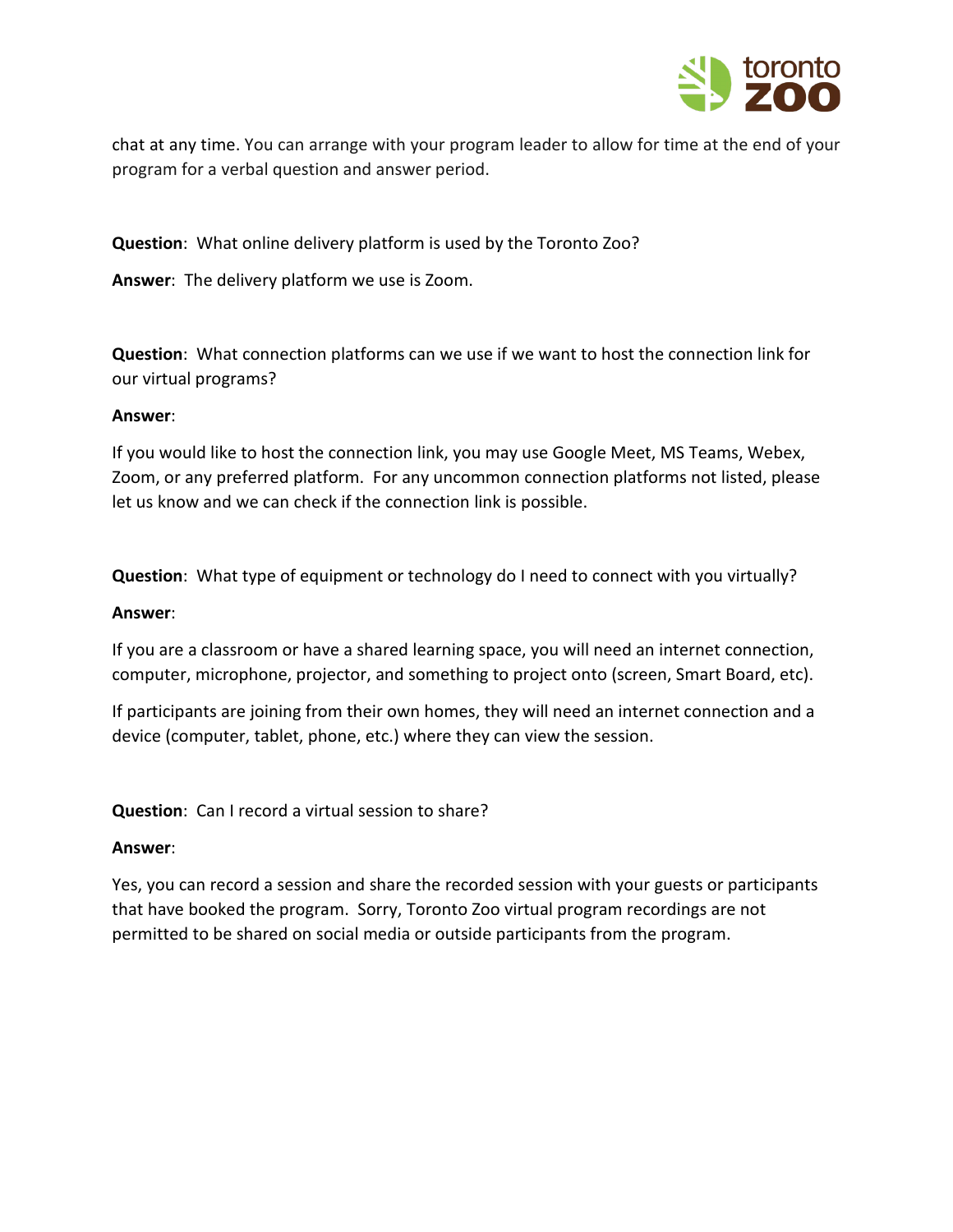

chat at any time. You can arrange with your program leader to allow for time at the end of your program for a verbal question and answer period.

**Question**: What online delivery platform is used by the Toronto Zoo?

**Answer**: The delivery platform we use is Zoom.

**Question**: What connection platforms can we use if we want to host the connection link for our virtual programs?

#### **Answer**:

If you would like to host the connection link, you may use Google Meet, MS Teams, Webex, Zoom, or any preferred platform. For any uncommon connection platforms not listed, please let us know and we can check if the connection link is possible.

**Question**: What type of equipment or technology do I need to connect with you virtually?

#### **Answer**:

If you are a classroom or have a shared learning space, you will need an internet connection, computer, microphone, projector, and something to project onto (screen, Smart Board, etc).

If participants are joining from their own homes, they will need an internet connection and a device (computer, tablet, phone, etc.) where they can view the session.

**Question**: Can I record a virtual session to share?

#### **Answer**:

Yes, you can record a session and share the recorded session with your guests or participants that have booked the program. Sorry, Toronto Zoo virtual program recordings are not permitted to be shared on social media or outside participants from the program.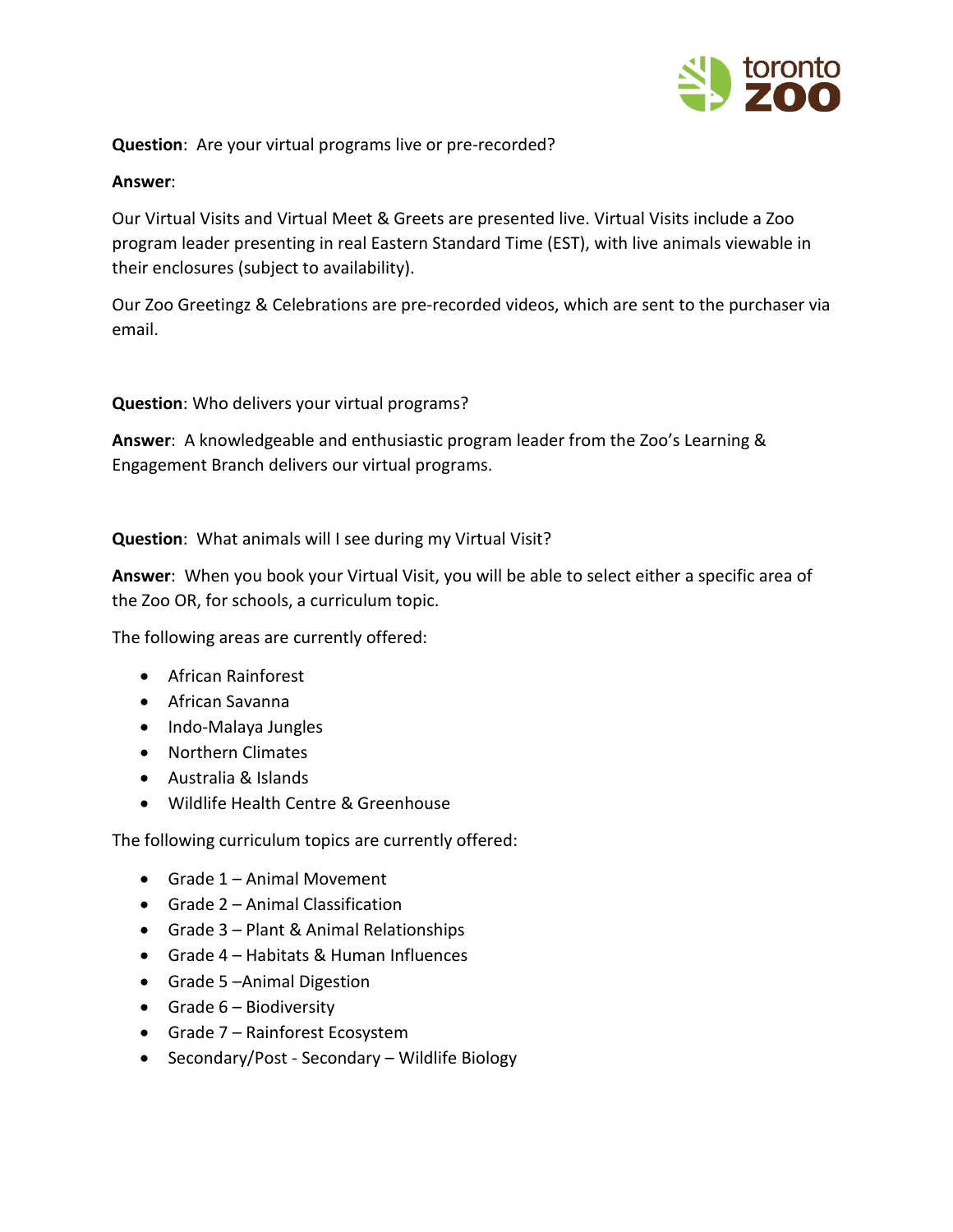

**Question**: Are your virtual programs live or pre-recorded?

#### **Answer**:

Our Virtual Visits and Virtual Meet & Greets are presented live. Virtual Visits include a Zoo program leader presenting in real Eastern Standard Time (EST), with live animals viewable in their enclosures (subject to availability).

Our Zoo Greetingz & Celebrations are pre-recorded videos, which are sent to the purchaser via email.

**Question**: Who delivers your virtual programs?

**Answer**: A knowledgeable and enthusiastic program leader from the Zoo's Learning & Engagement Branch delivers our virtual programs.

**Question**: What animals will I see during my Virtual Visit?

**Answer**: When you book your Virtual Visit, you will be able to select either a specific area of the Zoo OR, for schools, a curriculum topic.

The following areas are currently offered:

- African Rainforest
- African Savanna
- Indo-Malaya Jungles
- Northern Climates
- Australia & Islands
- Wildlife Health Centre & Greenhouse

The following curriculum topics are currently offered:

- Grade 1 Animal Movement
- Grade 2 Animal Classification
- Grade 3 Plant & Animal Relationships
- Grade 4 Habitats & Human Influences
- Grade 5 –Animal Digestion
- Grade 6 Biodiversity
- Grade 7 Rainforest Ecosystem
- Secondary/Post Secondary Wildlife Biology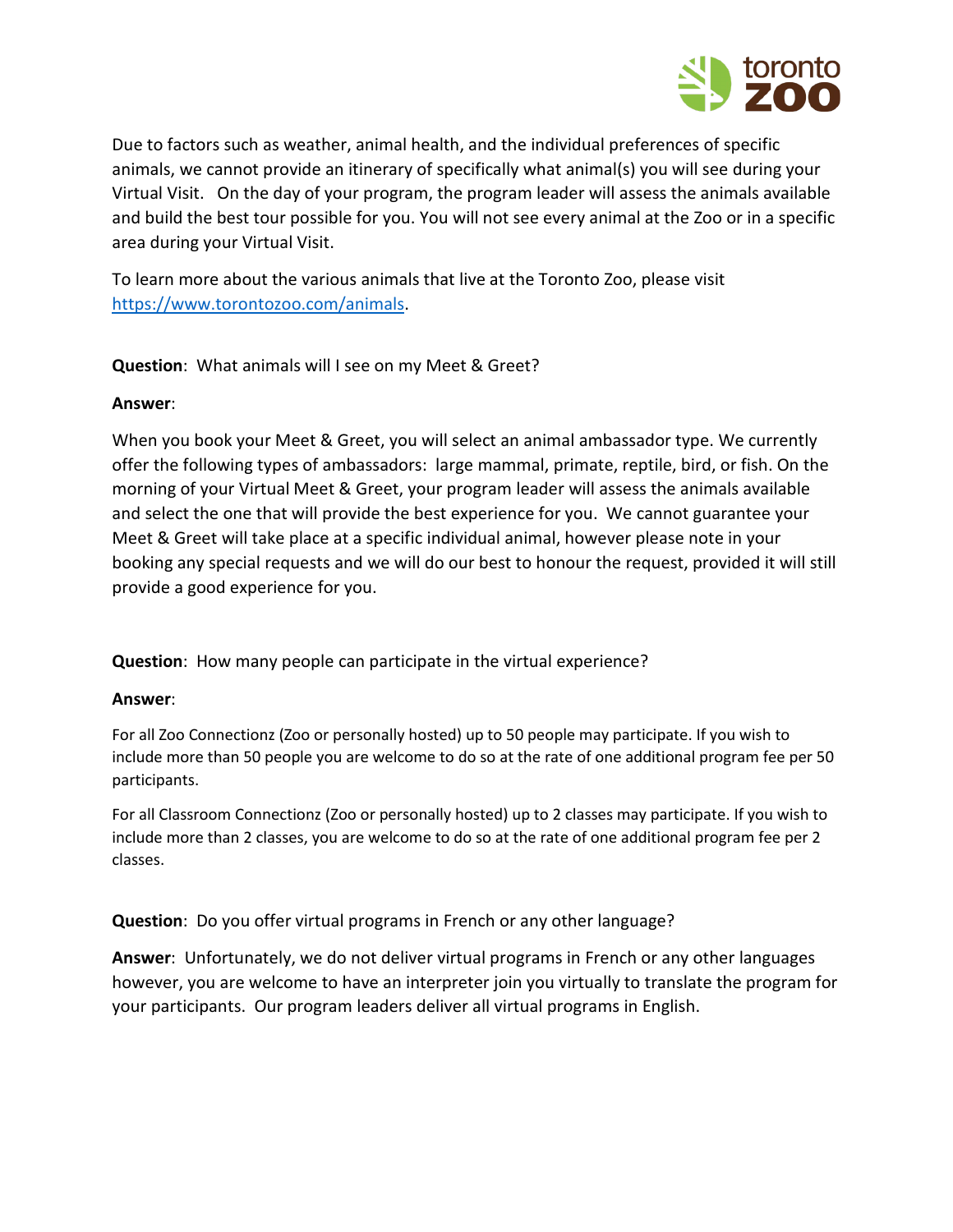

Due to factors such as weather, animal health, and the individual preferences of specific animals, we cannot provide an itinerary of specifically what animal(s) you will see during your Virtual Visit. On the day of your program, the program leader will assess the animals available and build the best tour possible for you. You will not see every animal at the Zoo or in a specific area during your Virtual Visit.

To learn more about the various animals that live at the Toronto Zoo, please visit [https://www.torontozoo.com/animals.](https://www.torontozoo.com/animals)

**Question**: What animals will I see on my Meet & Greet?

#### **Answer**:

When you book your Meet & Greet, you will select an animal ambassador type. We currently offer the following types of ambassadors: large mammal, primate, reptile, bird, or fish. On the morning of your Virtual Meet & Greet, your program leader will assess the animals available and select the one that will provide the best experience for you. We cannot guarantee your Meet & Greet will take place at a specific individual animal, however please note in your booking any special requests and we will do our best to honour the request, provided it will still provide a good experience for you.

**Question**: How many people can participate in the virtual experience?

#### **Answer**:

For all Zoo Connectionz (Zoo or personally hosted) up to 50 people may participate. If you wish to include more than 50 people you are welcome to do so at the rate of one additional program fee per 50 participants.

For all Classroom Connectionz (Zoo or personally hosted) up to 2 classes may participate. If you wish to include more than 2 classes, you are welcome to do so at the rate of one additional program fee per 2 classes.

**Question**: Do you offer virtual programs in French or any other language?

**Answer**: Unfortunately, we do not deliver virtual programs in French or any other languages however, you are welcome to have an interpreter join you virtually to translate the program for your participants. Our program leaders deliver all virtual programs in English.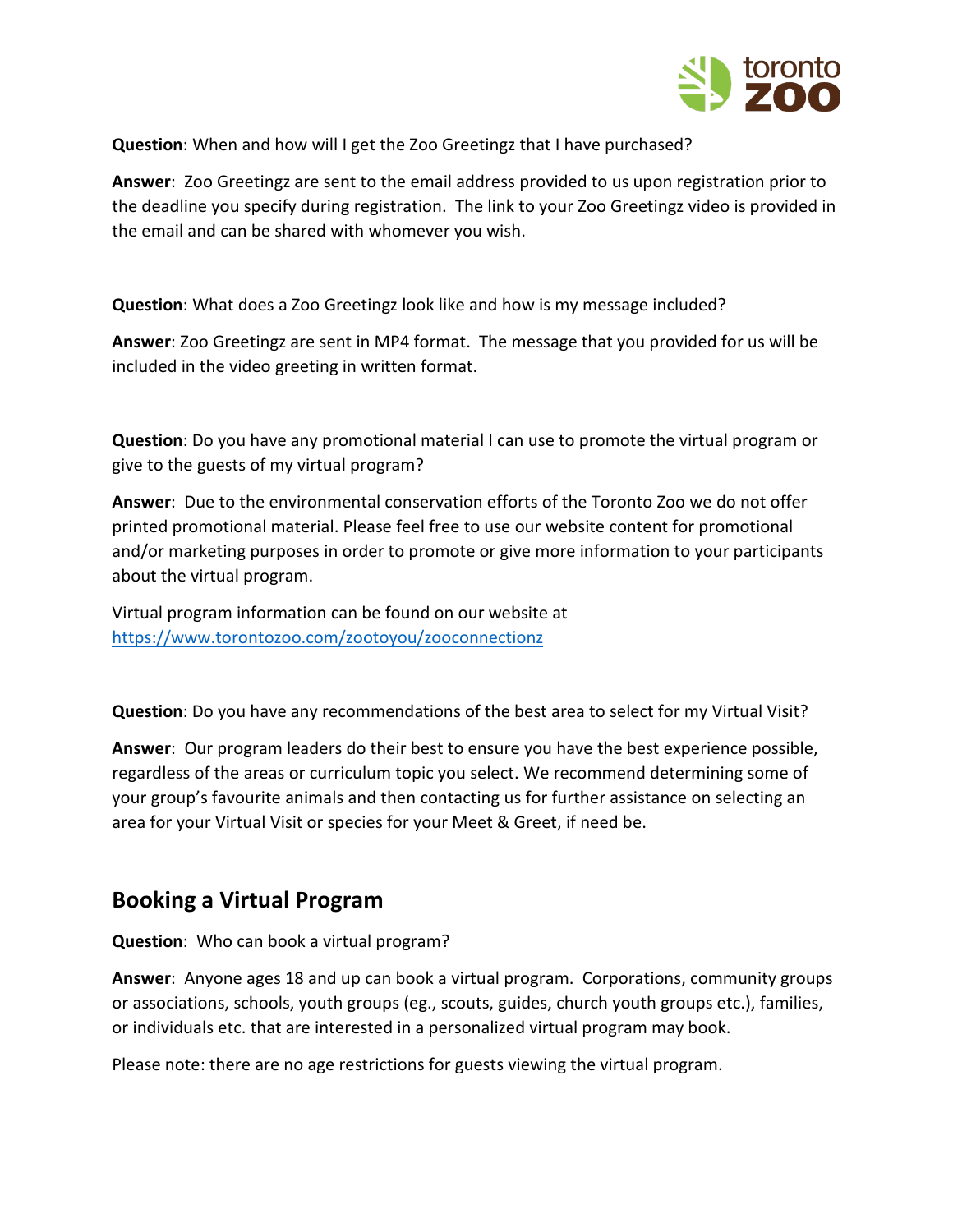

**Question**: When and how will I get the Zoo Greetingz that I have purchased?

**Answer**: Zoo Greetingz are sent to the email address provided to us upon registration prior to the deadline you specify during registration. The link to your Zoo Greetingz video is provided in the email and can be shared with whomever you wish.

**Question**: What does a Zoo Greetingz look like and how is my message included?

**Answer**: Zoo Greetingz are sent in MP4 format. The message that you provided for us will be included in the video greeting in written format.

**Question**: Do you have any promotional material I can use to promote the virtual program or give to the guests of my virtual program?

**Answer**: Due to the environmental conservation efforts of the Toronto Zoo we do not offer printed promotional material. Please feel free to use our website content for promotional and/or marketing purposes in order to promote or give more information to your participants about the virtual program.

Virtual program information can be found on our website at <https://www.torontozoo.com/zootoyou/zooconnectionz>

**Question**: Do you have any recommendations of the best area to select for my Virtual Visit?

**Answer**: Our program leaders do their best to ensure you have the best experience possible, regardless of the areas or curriculum topic you select. We recommend determining some of your group's favourite animals and then contacting us for further assistance on selecting an area for your Virtual Visit or species for your Meet & Greet, if need be.

### **Booking a Virtual Program**

**Question**: Who can book a virtual program?

**Answer**: Anyone ages 18 and up can book a virtual program. Corporations, community groups or associations, schools, youth groups (eg., scouts, guides, church youth groups etc.), families, or individuals etc. that are interested in a personalized virtual program may book.

Please note: there are no age restrictions for guests viewing the virtual program.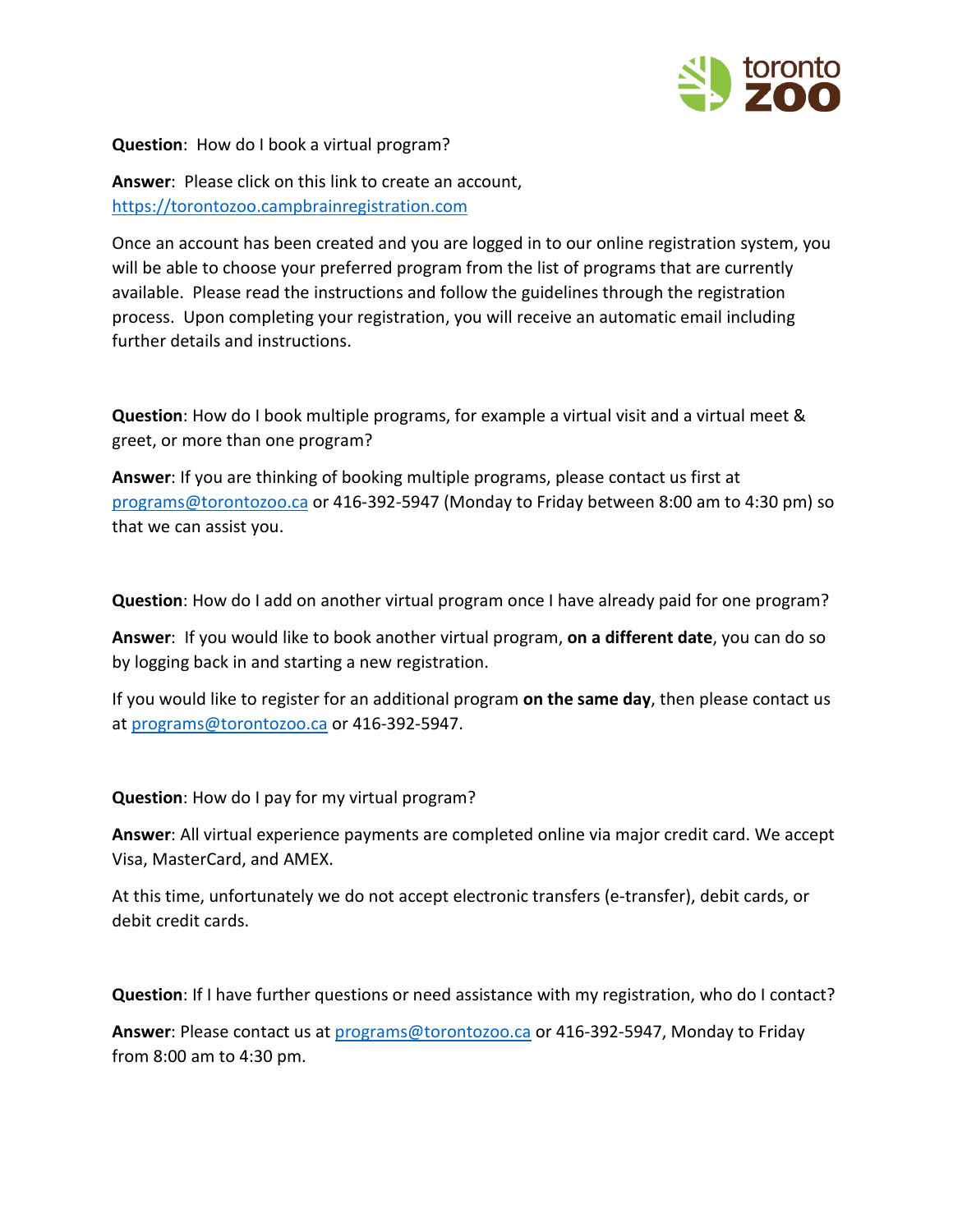

#### **Question**: How do I book a virtual program?

**Answer**: Please click on this link to create an account, [https://torontozoo.campbrainregistration.com](https://torontozoo.campbrainregistration.com/)

Once an account has been created and you are logged in to our online registration system, you will be able to choose your preferred program from the list of programs that are currently available. Please read the instructions and follow the guidelines through the registration process. Upon completing your registration, you will receive an automatic email including further details and instructions.

**Question**: How do I book multiple programs, for example a virtual visit and a virtual meet & greet, or more than one program?

**Answer**: If you are thinking of booking multiple programs, please contact us first at [programs@torontozoo.ca](mailto:programs@torontozoo.ca) or 416-392-5947 (Monday to Friday between 8:00 am to 4:30 pm) so that we can assist you.

**Question**: How do I add on another virtual program once I have already paid for one program?

**Answer**: If you would like to book another virtual program, **on a different date**, you can do so by logging back in and starting a new registration.

If you would like to register for an additional program **on the same day**, then please contact us at [programs@torontozoo.ca](mailto:programs@torontozoo.ca) or 416-392-5947.

**Question**: How do I pay for my virtual program?

**Answer**: All virtual experience payments are completed online via major credit card. We accept Visa, MasterCard, and AMEX.

At this time, unfortunately we do not accept electronic transfers (e-transfer), debit cards, or debit credit cards.

**Question**: If I have further questions or need assistance with my registration, who do I contact?

**Answer**: Please contact us at [programs@torontozoo.ca](mailto:programs@torontozoo.ca) or 416-392-5947, Monday to Friday from 8:00 am to 4:30 pm.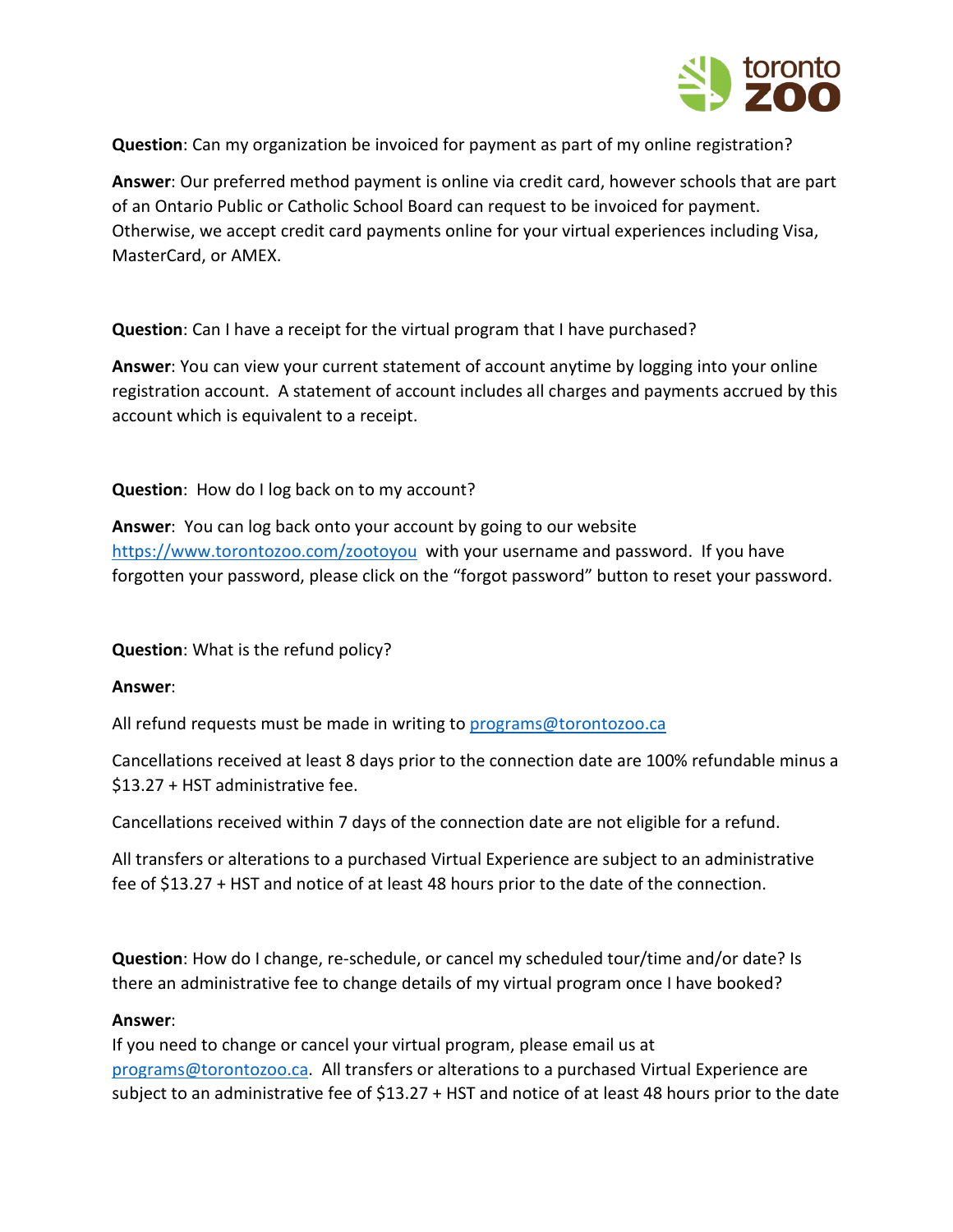

**Question**: Can my organization be invoiced for payment as part of my online registration?

**Answer**: Our preferred method payment is online via credit card, however schools that are part of an Ontario Public or Catholic School Board can request to be invoiced for payment. Otherwise, we accept credit card payments online for your virtual experiences including Visa, MasterCard, or AMEX.

**Question**: Can I have a receipt for the virtual program that I have purchased?

**Answer**: You can view your current statement of account anytime by logging into your online registration account. A statement of account includes all charges and payments accrued by this account which is equivalent to a receipt.

**Question**: How do I log back on to my account?

**Answer**: You can log back onto your account by going to our website <https://www.torontozoo.com/zootoyou> with your username and password. If you have forgotten your password, please click on the "forgot password" button to reset your password.

**Question**: What is the refund policy?

#### **Answer**:

All refund requests must be made in writing to programs@torontozoo.ca

Cancellations received at least 8 days prior to the connection date are 100% refundable minus a \$13.27 + HST administrative fee.

Cancellations received within 7 days of the connection date are not eligible for a refund.

All transfers or alterations to a purchased Virtual Experience are subject to an administrative fee of \$13.27 + HST and notice of at least 48 hours prior to the date of the connection.

**Question**: How do I change, re-schedule, or cancel my scheduled tour/time and/or date? Is there an administrative fee to change details of my virtual program once I have booked?

#### **Answer**:

If you need to change or cancel your virtual program, please email us at [programs@torontozoo.ca.](mailto:programs@torontozoo.ca) All transfers or alterations to a purchased Virtual Experience are subject to an administrative fee of \$13.27 + HST and notice of at least 48 hours prior to the date